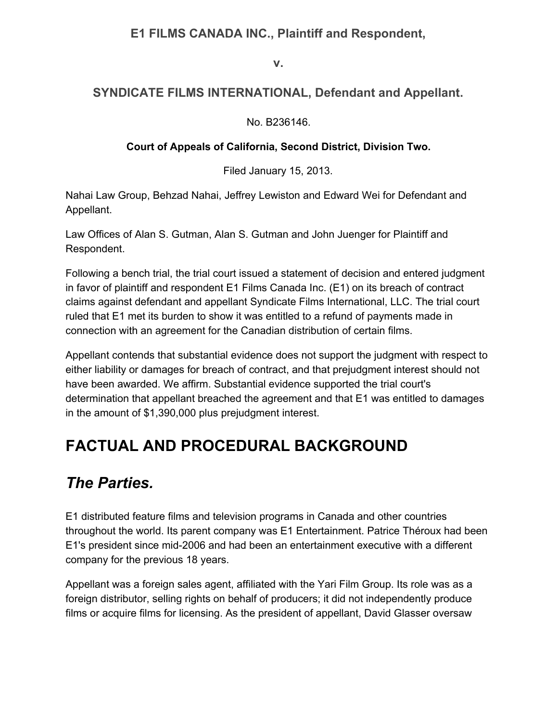#### **E1 FILMS CANADA INC., Plaintiff and Respondent,**

**v.**

#### **SYNDICATE FILMS INTERNATIONAL, Defendant and Appellant.**

No. B236146.

#### **Court of Appeals of California, Second District, Division Two.**

Filed January 15, 2013.

Nahai Law Group, Behzad Nahai, Jeffrey Lewiston and Edward Wei for Defendant and Appellant.

Law Offices of Alan S. Gutman, Alan S. Gutman and John Juenger for Plaintiff and Respondent.

Following a bench trial, the trial court issued a statement of decision and entered judgment in favor of plaintiff and respondent E1 Films Canada Inc. (E1) on its breach of contract claims against defendant and appellant Syndicate Films International, LLC. The trial court ruled that E1 met its burden to show it was entitled to a refund of payments made in connection with an agreement for the Canadian distribution of certain films.

Appellant contends that substantial evidence does not support the judgment with respect to either liability or damages for breach of contract, and that prejudgment interest should not have been awarded. We affirm. Substantial evidence supported the trial court's determination that appellant breached the agreement and that E1 was entitled to damages in the amount of \$1,390,000 plus prejudgment interest.

## **FACTUAL AND PROCEDURAL BACKGROUND**

#### *The Parties.*

E1 distributed feature films and television programs in Canada and other countries throughout the world. Its parent company was E1 Entertainment. Patrice Théroux had been E1's president since mid-2006 and had been an entertainment executive with a different company for the previous 18 years.

Appellant was a foreign sales agent, affiliated with the Yari Film Group. Its role was as a foreign distributor, selling rights on behalf of producers; it did not independently produce films or acquire films for licensing. As the president of appellant, David Glasser oversaw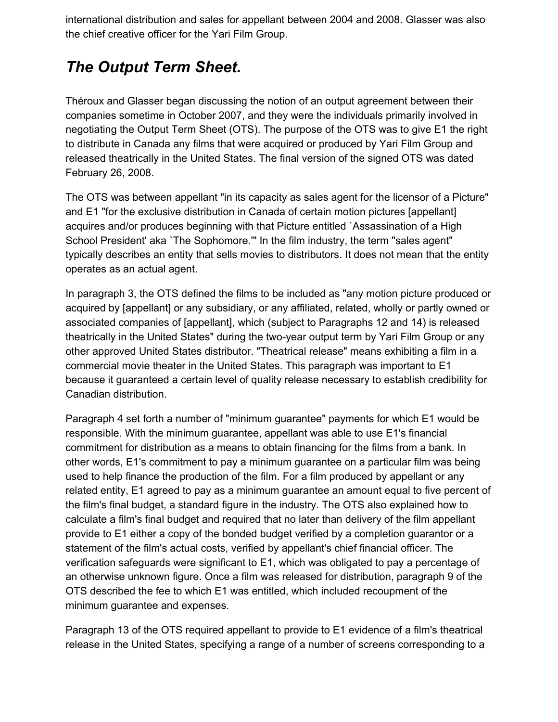international distribution and sales for appellant between 2004 and 2008. Glasser was also the chief creative officer for the Yari Film Group.

#### *The Output Term Sheet.*

Théroux and Glasser began discussing the notion of an output agreement between their companies sometime in October 2007, and they were the individuals primarily involved in negotiating the Output Term Sheet (OTS). The purpose of the OTS was to give E1 the right to distribute in Canada any films that were acquired or produced by Yari Film Group and released theatrically in the United States. The final version of the signed OTS was dated February 26, 2008.

The OTS was between appellant "in its capacity as sales agent for the licensor of a Picture" and E1 "for the exclusive distribution in Canada of certain motion pictures [appellant] acquires and/or produces beginning with that Picture entitled `Assassination of a High School President' aka `The Sophomore.'" In the film industry, the term "sales agent" typically describes an entity that sells movies to distributors. It does not mean that the entity operates as an actual agent.

In paragraph 3, the OTS defined the films to be included as "any motion picture produced or acquired by [appellant] or any subsidiary, or any affiliated, related, wholly or partly owned or associated companies of [appellant], which (subject to Paragraphs 12 and 14) is released theatrically in the United States" during the two-year output term by Yari Film Group or any other approved United States distributor. "Theatrical release" means exhibiting a film in a commercial movie theater in the United States. This paragraph was important to E1 because it guaranteed a certain level of quality release necessary to establish credibility for Canadian distribution.

Paragraph 4 set forth a number of "minimum guarantee" payments for which E1 would be responsible. With the minimum guarantee, appellant was able to use E1's financial commitment for distribution as a means to obtain financing for the films from a bank. In other words, E1's commitment to pay a minimum guarantee on a particular film was being used to help finance the production of the film. For a film produced by appellant or any related entity, E1 agreed to pay as a minimum guarantee an amount equal to five percent of the film's final budget, a standard figure in the industry. The OTS also explained how to calculate a film's final budget and required that no later than delivery of the film appellant provide to E1 either a copy of the bonded budget verified by a completion guarantor or a statement of the film's actual costs, verified by appellant's chief financial officer. The verification safeguards were significant to E1, which was obligated to pay a percentage of an otherwise unknown figure. Once a film was released for distribution, paragraph 9 of the OTS described the fee to which E1 was entitled, which included recoupment of the minimum guarantee and expenses.

Paragraph 13 of the OTS required appellant to provide to E1 evidence of a film's theatrical release in the United States, specifying a range of a number of screens corresponding to a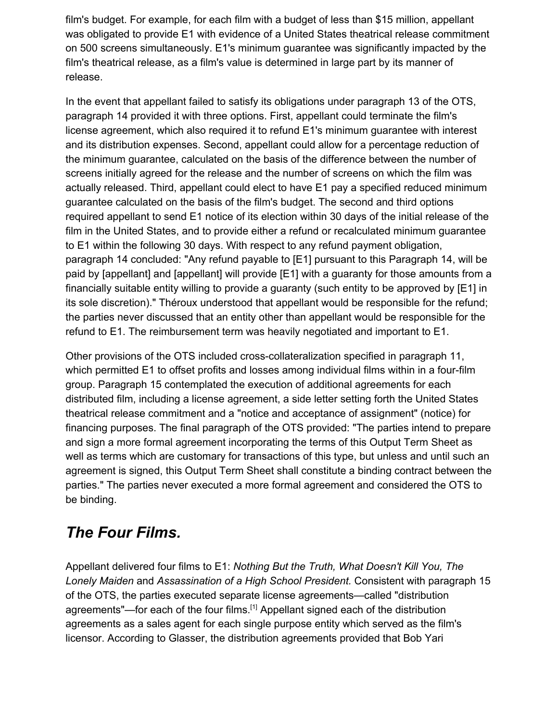film's budget. For example, for each film with a budget of less than \$15 million, appellant was obligated to provide E1 with evidence of a United States theatrical release commitment on 500 screens simultaneously. E1's minimum guarantee was significantly impacted by the film's theatrical release, as a film's value is determined in large part by its manner of release.

In the event that appellant failed to satisfy its obligations under paragraph 13 of the OTS, paragraph 14 provided it with three options. First, appellant could terminate the film's license agreement, which also required it to refund E1's minimum guarantee with interest and its distribution expenses. Second, appellant could allow for a percentage reduction of the minimum guarantee, calculated on the basis of the difference between the number of screens initially agreed for the release and the number of screens on which the film was actually released. Third, appellant could elect to have E1 pay a specified reduced minimum guarantee calculated on the basis of the film's budget. The second and third options required appellant to send E1 notice of its election within 30 days of the initial release of the film in the United States, and to provide either a refund or recalculated minimum guarantee to E1 within the following 30 days. With respect to any refund payment obligation, paragraph 14 concluded: "Any refund payable to [E1] pursuant to this Paragraph 14, will be paid by [appellant] and [appellant] will provide [E1] with a guaranty for those amounts from a financially suitable entity willing to provide a guaranty (such entity to be approved by [E1] in its sole discretion)." Théroux understood that appellant would be responsible for the refund; the parties never discussed that an entity other than appellant would be responsible for the refund to E1. The reimbursement term was heavily negotiated and important to E1.

Other provisions of the OTS included cross-collateralization specified in paragraph 11, which permitted E1 to offset profits and losses among individual films within in a four-film group. Paragraph 15 contemplated the execution of additional agreements for each distributed film, including a license agreement, a side letter setting forth the United States theatrical release commitment and a "notice and acceptance of assignment" (notice) for financing purposes. The final paragraph of the OTS provided: "The parties intend to prepare and sign a more formal agreement incorporating the terms of this Output Term Sheet as well as terms which are customary for transactions of this type, but unless and until such an agreement is signed, this Output Term Sheet shall constitute a binding contract between the parties." The parties never executed a more formal agreement and considered the OTS to be binding.

## *The Four Films.*

Appellant delivered four films to E1: *Nothing But the Truth, What Doesn't Kill You, The Lonely Maiden* and *Assassination of a High School President.* Consistent with paragraph 15 of the OTS, the parties executed separate license agreements—called "distribution agreements"—for each of the four films.<sup>[1]</sup> Appellant signed each of the distribution agreements as a sales agent for each single purpose entity which served as the film's licensor. According to Glasser, the distribution agreements provided that Bob Yari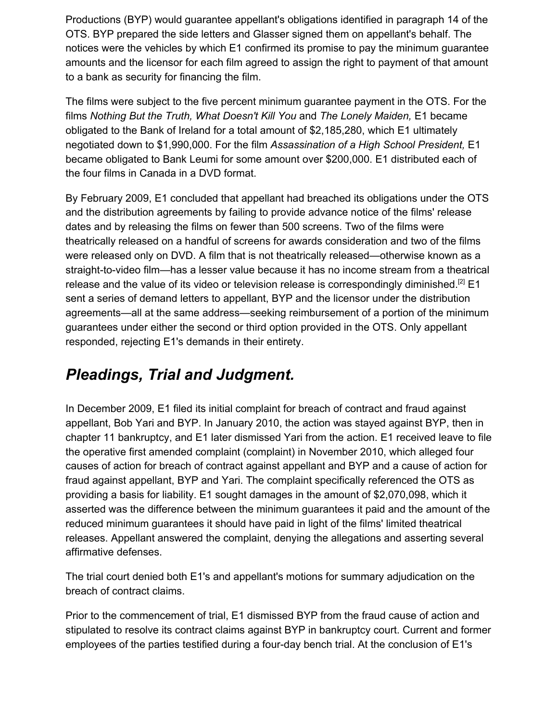Productions (BYP) would guarantee appellant's obligations identified in paragraph 14 of the OTS. BYP prepared the side letters and Glasser signed them on appellant's behalf. The notices were the vehicles by which E1 confirmed its promise to pay the minimum guarantee amounts and the licensor for each film agreed to assign the right to payment of that amount to a bank as security for financing the film.

The films were subject to the five percent minimum guarantee payment in the OTS. For the films *Nothing But the Truth, What Doesn't Kill You* and *The Lonely Maiden,* E1 became obligated to the Bank of Ireland for a total amount of \$2,185,280, which E1 ultimately negotiated down to \$1,990,000. For the film *Assassination of a High School President,* E1 became obligated to Bank Leumi for some amount over \$200,000. E1 distributed each of the four films in Canada in a DVD format.

By February 2009, E1 concluded that appellant had breached its obligations under the OTS and the distribution agreements by failing to provide advance notice of the films' release dates and by releasing the films on fewer than 500 screens. Two of the films were theatrically released on a handful of screens for awards consideration and two of the films were released only on DVD. A film that is not theatrically released—otherwise known as a straight-to-video film—has a lesser value because it has no income stream from a theatrical release and the value of its video or television release is correspondingly diminished.<sup>[2]</sup> E1 sent a series of demand letters to appellant, BYP and the licensor under the distribution agreements—all at the same address—seeking reimbursement of a portion of the minimum guarantees under either the second or third option provided in the OTS. Only appellant responded, rejecting E1's demands in their entirety.

#### *Pleadings, Trial and Judgment.*

In December 2009, E1 filed its initial complaint for breach of contract and fraud against appellant, Bob Yari and BYP. In January 2010, the action was stayed against BYP, then in chapter 11 bankruptcy, and E1 later dismissed Yari from the action. E1 received leave to file the operative first amended complaint (complaint) in November 2010, which alleged four causes of action for breach of contract against appellant and BYP and a cause of action for fraud against appellant, BYP and Yari. The complaint specifically referenced the OTS as providing a basis for liability. E1 sought damages in the amount of \$2,070,098, which it asserted was the difference between the minimum guarantees it paid and the amount of the reduced minimum guarantees it should have paid in light of the films' limited theatrical releases. Appellant answered the complaint, denying the allegations and asserting several affirmative defenses.

The trial court denied both E1's and appellant's motions for summary adjudication on the breach of contract claims.

Prior to the commencement of trial, E1 dismissed BYP from the fraud cause of action and stipulated to resolve its contract claims against BYP in bankruptcy court. Current and former employees of the parties testified during a four-day bench trial. At the conclusion of E1's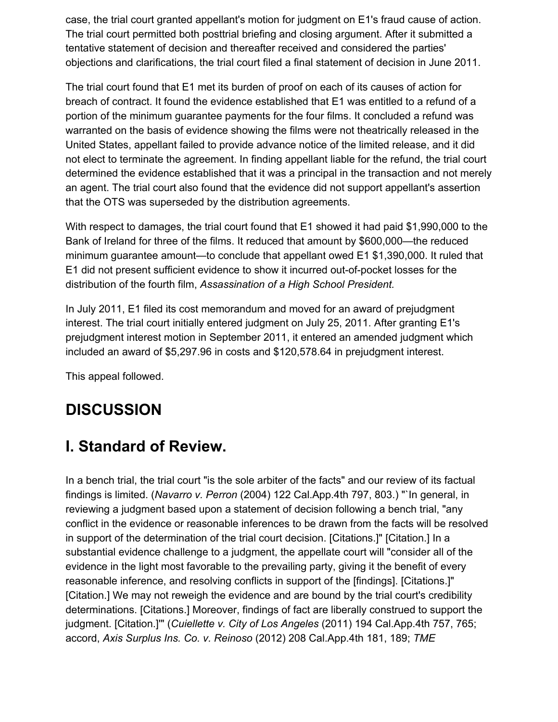case, the trial court granted appellant's motion for judgment on E1's fraud cause of action. The trial court permitted both posttrial briefing and closing argument. After it submitted a tentative statement of decision and thereafter received and considered the parties' objections and clarifications, the trial court filed a final statement of decision in June 2011.

The trial court found that E1 met its burden of proof on each of its causes of action for breach of contract. It found the evidence established that E1 was entitled to a refund of a portion of the minimum guarantee payments for the four films. It concluded a refund was warranted on the basis of evidence showing the films were not theatrically released in the United States, appellant failed to provide advance notice of the limited release, and it did not elect to terminate the agreement. In finding appellant liable for the refund, the trial court determined the evidence established that it was a principal in the transaction and not merely an agent. The trial court also found that the evidence did not support appellant's assertion that the OTS was superseded by the distribution agreements.

With respect to damages, the trial court found that E1 showed it had paid \$1,990,000 to the Bank of Ireland for three of the films. It reduced that amount by \$600,000—the reduced minimum guarantee amount—to conclude that appellant owed E1 \$1,390,000. It ruled that E1 did not present sufficient evidence to show it incurred out-of-pocket losses for the distribution of the fourth film, *Assassination of a High School President.*

In July 2011, E1 filed its cost memorandum and moved for an award of prejudgment interest. The trial court initially entered judgment on July 25, 2011. After granting E1's prejudgment interest motion in September 2011, it entered an amended judgment which included an award of \$5,297.96 in costs and \$120,578.64 in prejudgment interest.

This appeal followed.

# **DISCUSSION**

#### **I. Standard of Review.**

In a bench trial, the trial court "is the sole arbiter of the facts" and our review of its factual findings is limited. (*Navarro v. Perron* (2004) 122 Cal.App.4th 797, 803.) "`In general, in reviewing a judgment based upon a statement of decision following a bench trial, "any conflict in the evidence or reasonable inferences to be drawn from the facts will be resolved in support of the determination of the trial court decision. [Citations.]" [Citation.] In a substantial evidence challenge to a judgment, the appellate court will "consider all of the evidence in the light most favorable to the prevailing party, giving it the benefit of every reasonable inference, and resolving conflicts in support of the [findings]. [Citations.]" [Citation.] We may not reweigh the evidence and are bound by the trial court's credibility determinations. [Citations.] Moreover, findings of fact are liberally construed to support the judgment. [Citation.]'" (*Cuiellette v. City of Los Angeles* (2011) 194 Cal.App.4th 757, 765; accord, *Axis Surplus Ins. Co. v. Reinoso* (2012) 208 Cal.App.4th 181, 189; *TME*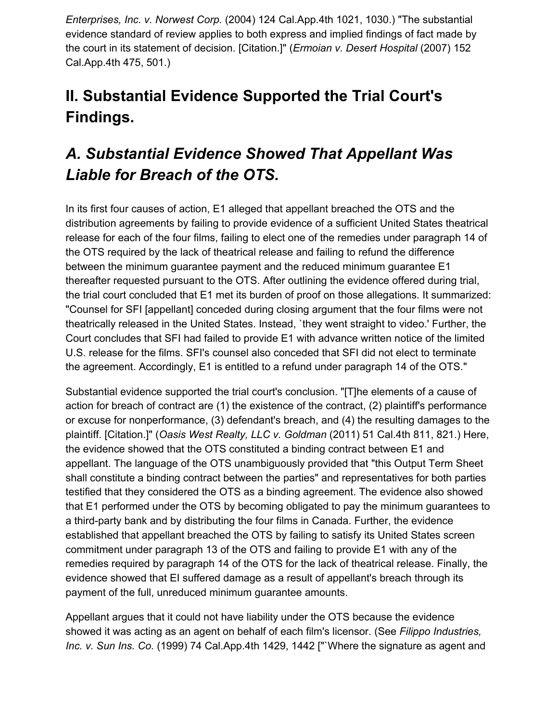*Enterprises, Inc. v. Norwest Corp.* (2004) 124 Cal.App.4th 1021, 1030.) "The substantial evidence standard of review applies to both express and implied findings of fact made by the court in its statement of decision. [Citation.]" (*Ermoian v. Desert Hospital* (2007) 152 Cal.App.4th 475, 501.)

# **II. Substantial Evidence Supported the Trial Court's Findings.**

# *A. Substantial Evidence Showed That Appellant Was Liable for Breach of the OTS.*

In its first four causes of action, E1 alleged that appellant breached the OTS and the distribution agreements by failing to provide evidence of a sufficient United States theatrical release for each of the four films, failing to elect one of the remedies under paragraph 14 of the OTS required by the lack of theatrical release and failing to refund the difference between the minimum guarantee payment and the reduced minimum guarantee E1 thereafter requested pursuant to the OTS. After outlining the evidence offered during trial, the trial court concluded that E1 met its burden of proof on those allegations. It summarized: "Counsel for SFI [appellant] conceded during closing argument that the four films were not theatrically released in the United States. Instead, `they went straight to video.' Further, the Court concludes that SFI had failed to provide E1 with advance written notice of the limited U.S. release for the films. SFI's counsel also conceded that SFI did not elect to terminate the agreement. Accordingly, E1 is entitled to a refund under paragraph 14 of the OTS."

Substantial evidence supported the trial court's conclusion. "[T]he elements of a cause of action for breach of contract are (1) the existence of the contract, (2) plaintiff's performance or excuse for nonperformance, (3) defendant's breach, and (4) the resulting damages to the plaintiff. [Citation.]" (*Oasis West Realty, LLC v. Goldman* (2011) 51 Cal.4th 811, 821.) Here, the evidence showed that the OTS constituted a binding contract between E1 and appellant. The language of the OTS unambiguously provided that "this Output Term Sheet shall constitute a binding contract between the parties" and representatives for both parties testified that they considered the OTS as a binding agreement. The evidence also showed that E1 performed under the OTS by becoming obligated to pay the minimum guarantees to a third-party bank and by distributing the four films in Canada. Further, the evidence established that appellant breached the OTS by failing to satisfy its United States screen commitment under paragraph 13 of the OTS and failing to provide E1 with any of the remedies required by paragraph 14 of the OTS for the lack of theatrical release. Finally, the evidence showed that EI suffered damage as a result of appellant's breach through its payment of the full, unreduced minimum guarantee amounts.

Appellant argues that it could not have liability under the OTS because the evidence showed it was acting as an agent on behalf of each film's licensor. (See *Filippo Industries, Inc. v. Sun Ins. Co.* (1999) 74 Cal.App.4th 1429, 1442 ["`Where the signature as agent and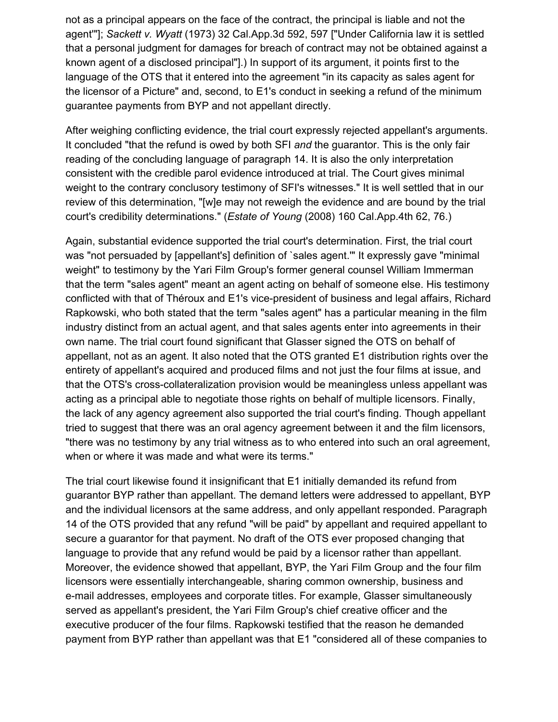not as a principal appears on the face of the contract, the principal is liable and not the agent'"]; *Sackett v. Wyatt* (1973) 32 Cal.App.3d 592, 597 ["Under California law it is settled that a personal judgment for damages for breach of contract may not be obtained against a known agent of a disclosed principal"].) In support of its argument, it points first to the language of the OTS that it entered into the agreement "in its capacity as sales agent for the licensor of a Picture" and, second, to E1's conduct in seeking a refund of the minimum guarantee payments from BYP and not appellant directly.

After weighing conflicting evidence, the trial court expressly rejected appellant's arguments. It concluded "that the refund is owed by both SFI *and* the guarantor. This is the only fair reading of the concluding language of paragraph 14. It is also the only interpretation consistent with the credible parol evidence introduced at trial. The Court gives minimal weight to the contrary conclusory testimony of SFI's witnesses." It is well settled that in our review of this determination, "[w]e may not reweigh the evidence and are bound by the trial court's credibility determinations." (*Estate of Young* (2008) 160 Cal.App.4th 62, 76.)

Again, substantial evidence supported the trial court's determination. First, the trial court was "not persuaded by [appellant's] definition of `sales agent." It expressly gave "minimal weight" to testimony by the Yari Film Group's former general counsel William Immerman that the term "sales agent" meant an agent acting on behalf of someone else. His testimony conflicted with that of Théroux and E1's vice-president of business and legal affairs, Richard Rapkowski, who both stated that the term "sales agent" has a particular meaning in the film industry distinct from an actual agent, and that sales agents enter into agreements in their own name. The trial court found significant that Glasser signed the OTS on behalf of appellant, not as an agent. It also noted that the OTS granted E1 distribution rights over the entirety of appellant's acquired and produced films and not just the four films at issue, and that the OTS's cross-collateralization provision would be meaningless unless appellant was acting as a principal able to negotiate those rights on behalf of multiple licensors. Finally, the lack of any agency agreement also supported the trial court's finding. Though appellant tried to suggest that there was an oral agency agreement between it and the film licensors, "there was no testimony by any trial witness as to who entered into such an oral agreement, when or where it was made and what were its terms."

The trial court likewise found it insignificant that E1 initially demanded its refund from guarantor BYP rather than appellant. The demand letters were addressed to appellant, BYP and the individual licensors at the same address, and only appellant responded. Paragraph 14 of the OTS provided that any refund "will be paid" by appellant and required appellant to secure a guarantor for that payment. No draft of the OTS ever proposed changing that language to provide that any refund would be paid by a licensor rather than appellant. Moreover, the evidence showed that appellant, BYP, the Yari Film Group and the four film licensors were essentially interchangeable, sharing common ownership, business and e-mail addresses, employees and corporate titles. For example, Glasser simultaneously served as appellant's president, the Yari Film Group's chief creative officer and the executive producer of the four films. Rapkowski testified that the reason he demanded payment from BYP rather than appellant was that E1 "considered all of these companies to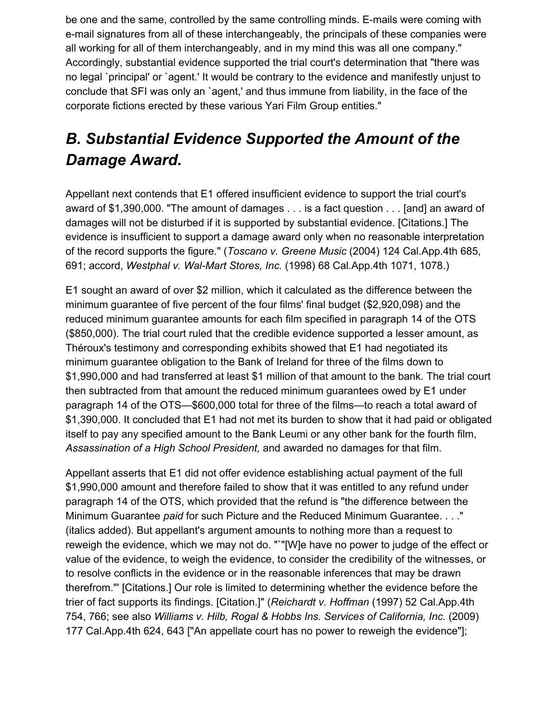be one and the same, controlled by the same controlling minds. E-mails were coming with e-mail signatures from all of these interchangeably, the principals of these companies were all working for all of them interchangeably, and in my mind this was all one company." Accordingly, substantial evidence supported the trial court's determination that "there was no legal `principal' or `agent.' It would be contrary to the evidence and manifestly unjust to conclude that SFI was only an `agent,' and thus immune from liability, in the face of the corporate fictions erected by these various Yari Film Group entities."

# *B. Substantial Evidence Supported the Amount of the Damage Award.*

Appellant next contends that E1 offered insufficient evidence to support the trial court's award of \$1,390,000. "The amount of damages . . . is a fact question . . . [and] an award of damages will not be disturbed if it is supported by substantial evidence. [Citations.] The evidence is insufficient to support a damage award only when no reasonable interpretation of the record supports the figure." (*Toscano v. Greene Music* (2004) 124 Cal.App.4th 685, 691; accord, *Westphal v. Wal-Mart Stores, Inc.* (1998) 68 Cal.App.4th 1071, 1078.)

E1 sought an award of over \$2 million, which it calculated as the difference between the minimum guarantee of five percent of the four films' final budget (\$2,920,098) and the reduced minimum guarantee amounts for each film specified in paragraph 14 of the OTS (\$850,000). The trial court ruled that the credible evidence supported a lesser amount, as Théroux's testimony and corresponding exhibits showed that E1 had negotiated its minimum guarantee obligation to the Bank of Ireland for three of the films down to \$1,990,000 and had transferred at least \$1 million of that amount to the bank. The trial court then subtracted from that amount the reduced minimum guarantees owed by E1 under paragraph 14 of the OTS—\$600,000 total for three of the films—to reach a total award of \$1,390,000. It concluded that E1 had not met its burden to show that it had paid or obligated itself to pay any specified amount to the Bank Leumi or any other bank for the fourth film, *Assassination of a High School President,* and awarded no damages for that film.

Appellant asserts that E1 did not offer evidence establishing actual payment of the full \$1,990,000 amount and therefore failed to show that it was entitled to any refund under paragraph 14 of the OTS, which provided that the refund is "the difference between the Minimum Guarantee *paid* for such Picture and the Reduced Minimum Guarantee. . . ." (italics added). But appellant's argument amounts to nothing more than a request to reweigh the evidence, which we may not do. "`"[W]e have no power to judge of the effect or value of the evidence, to weigh the evidence, to consider the credibility of the witnesses, or to resolve conflicts in the evidence or in the reasonable inferences that may be drawn therefrom."' [Citations.] Our role is limited to determining whether the evidence before the trier of fact supports its findings. [Citation.]" (*Reichardt v. Hoffman* (1997) 52 Cal.App.4th 754, 766; see also *Williams v. Hilb, Rogal & Hobbs Ins. Services of California, Inc.* (2009) 177 Cal.App.4th 624, 643 ["An appellate court has no power to reweigh the evidence"];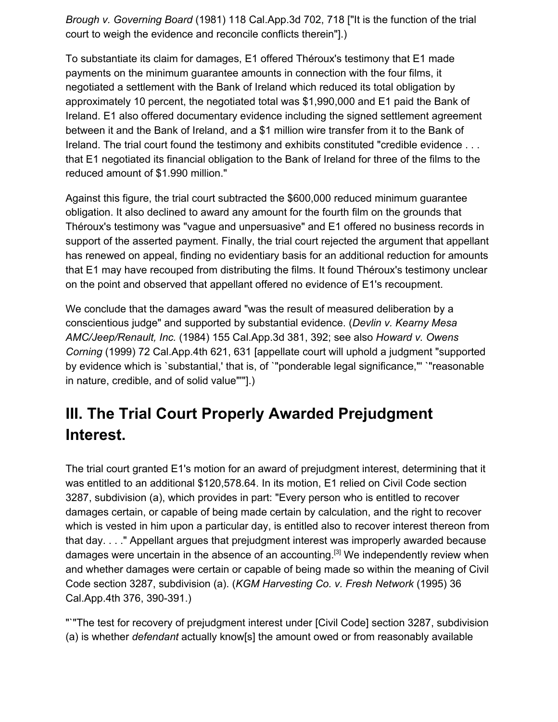*Brough v. Governing Board* (1981) 118 Cal.App.3d 702, 718 ["It is the function of the trial court to weigh the evidence and reconcile conflicts therein"].)

To substantiate its claim for damages, E1 offered Théroux's testimony that E1 made payments on the minimum guarantee amounts in connection with the four films, it negotiated a settlement with the Bank of Ireland which reduced its total obligation by approximately 10 percent, the negotiated total was \$1,990,000 and E1 paid the Bank of Ireland. E1 also offered documentary evidence including the signed settlement agreement between it and the Bank of Ireland, and a \$1 million wire transfer from it to the Bank of Ireland. The trial court found the testimony and exhibits constituted "credible evidence . . . that E1 negotiated its financial obligation to the Bank of Ireland for three of the films to the reduced amount of \$1.990 million."

Against this figure, the trial court subtracted the \$600,000 reduced minimum guarantee obligation. It also declined to award any amount for the fourth film on the grounds that Théroux's testimony was "vague and unpersuasive" and E1 offered no business records in support of the asserted payment. Finally, the trial court rejected the argument that appellant has renewed on appeal, finding no evidentiary basis for an additional reduction for amounts that E1 may have recouped from distributing the films. It found Théroux's testimony unclear on the point and observed that appellant offered no evidence of E1's recoupment.

We conclude that the damages award "was the result of measured deliberation by a conscientious judge" and supported by substantial evidence. (*Devlin v. Kearny Mesa AMC/Jeep/Renault, Inc.* (1984) 155 Cal.App.3d 381, 392; see also *Howard v. Owens Corning* (1999) 72 Cal.App.4th 621, 631 [appellate court will uphold a judgment "supported by evidence which is `substantial,' that is, of `"ponderable legal significance,"' `"reasonable in nature, credible, and of solid value"'"].)

# **III. The Trial Court Properly Awarded Prejudgment Interest.**

The trial court granted E1's motion for an award of prejudgment interest, determining that it was entitled to an additional \$120,578.64. In its motion, E1 relied on Civil Code section 3287, subdivision (a), which provides in part: "Every person who is entitled to recover damages certain, or capable of being made certain by calculation, and the right to recover which is vested in him upon a particular day, is entitled also to recover interest thereon from that day. . . ." Appellant argues that prejudgment interest was improperly awarded because damages were uncertain in the absence of an accounting.<sup>[3]</sup> We independently review when and whether damages were certain or capable of being made so within the meaning of Civil Code section 3287, subdivision (a). (*KGM Harvesting Co. v. Fresh Network* (1995) 36 Cal.App.4th 376, 390-391.)

"`"The test for recovery of prejudgment interest under [Civil Code] section 3287, subdivision (a) is whether *defendant* actually know[s] the amount owed or from reasonably available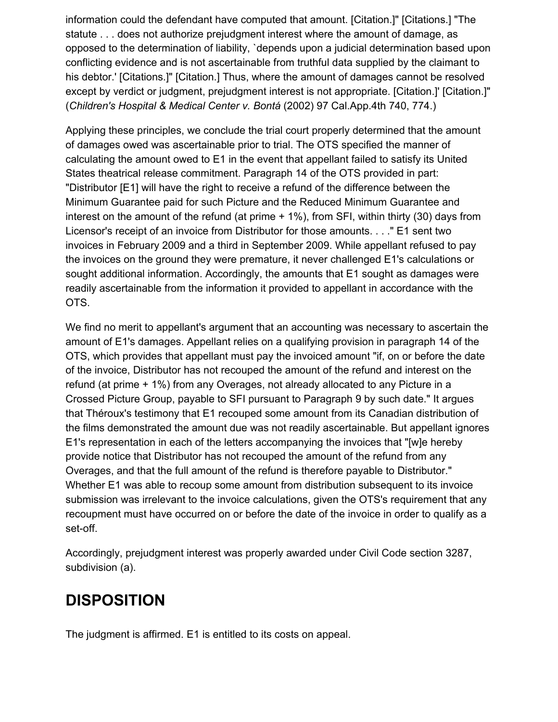information could the defendant have computed that amount. [Citation.]" [Citations.] "The statute . . . does not authorize prejudgment interest where the amount of damage, as opposed to the determination of liability, `depends upon a judicial determination based upon conflicting evidence and is not ascertainable from truthful data supplied by the claimant to his debtor.' [Citations.]" [Citation.] Thus, where the amount of damages cannot be resolved except by verdict or judgment, prejudgment interest is not appropriate. [Citation.]' [Citation.]" (*Children's Hospital & Medical Center v. Bontá* (2002) 97 Cal.App.4th 740, 774.)

Applying these principles, we conclude the trial court properly determined that the amount of damages owed was ascertainable prior to trial. The OTS specified the manner of calculating the amount owed to E1 in the event that appellant failed to satisfy its United States theatrical release commitment. Paragraph 14 of the OTS provided in part: "Distributor [E1] will have the right to receive a refund of the difference between the Minimum Guarantee paid for such Picture and the Reduced Minimum Guarantee and interest on the amount of the refund (at prime + 1%), from SFI, within thirty (30) days from Licensor's receipt of an invoice from Distributor for those amounts. . . ." E1 sent two invoices in February 2009 and a third in September 2009. While appellant refused to pay the invoices on the ground they were premature, it never challenged E1's calculations or sought additional information. Accordingly, the amounts that E1 sought as damages were readily ascertainable from the information it provided to appellant in accordance with the OTS.

We find no merit to appellant's argument that an accounting was necessary to ascertain the amount of E1's damages. Appellant relies on a qualifying provision in paragraph 14 of the OTS, which provides that appellant must pay the invoiced amount "if, on or before the date of the invoice, Distributor has not recouped the amount of the refund and interest on the refund (at prime + 1%) from any Overages, not already allocated to any Picture in a Crossed Picture Group, payable to SFI pursuant to Paragraph 9 by such date." It argues that Théroux's testimony that E1 recouped some amount from its Canadian distribution of the films demonstrated the amount due was not readily ascertainable. But appellant ignores E1's representation in each of the letters accompanying the invoices that "[w]e hereby provide notice that Distributor has not recouped the amount of the refund from any Overages, and that the full amount of the refund is therefore payable to Distributor." Whether E1 was able to recoup some amount from distribution subsequent to its invoice submission was irrelevant to the invoice calculations, given the OTS's requirement that any recoupment must have occurred on or before the date of the invoice in order to qualify as a set-off.

Accordingly, prejudgment interest was properly awarded under Civil Code section 3287, subdivision (a).

## **DISPOSITION**

The judgment is affirmed. E1 is entitled to its costs on appeal.